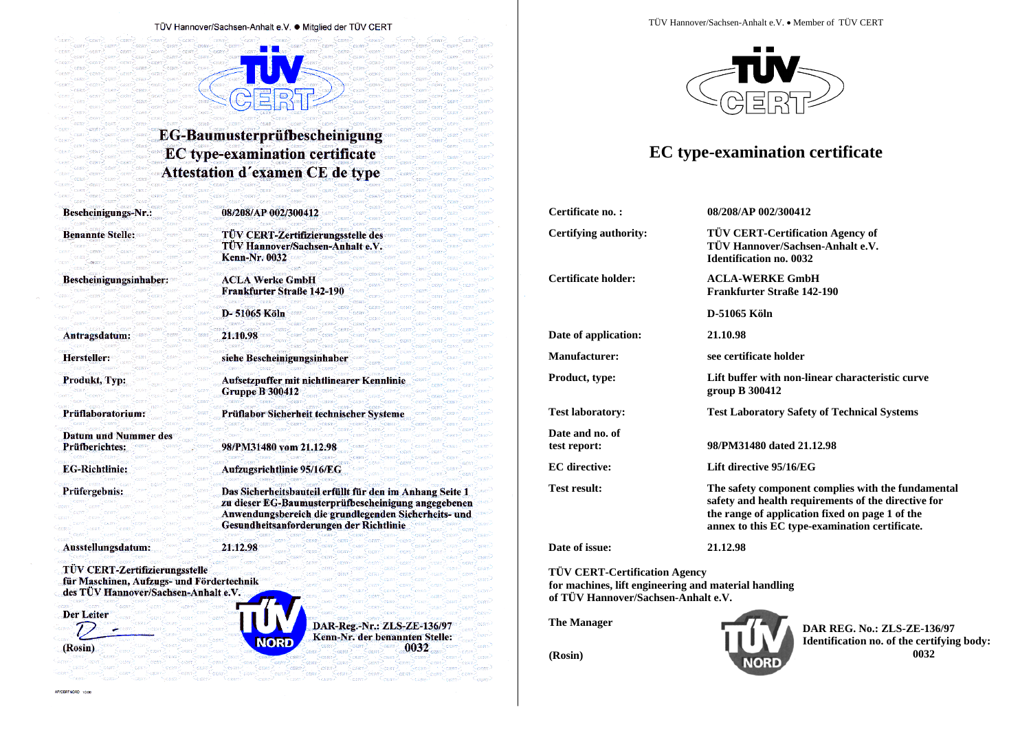#### TÜV Hannover/Sachsen-Anhalt e.V. ● Mitglied der TÜV CERT

## **EG-Baumusterprüfbescheinigung EC** type-examination certificate Attestation d'examen CE de type

Bescheinigungs-Nr.:

Bescheinigungsinhaber:

**Benannte Stelle:** 

Antragsdatum:

Produkt, Typ:

Prüfberichtes:

**EG-Richtlinie:** 

Prüfergebnis:

Prüflaboratorium:

**Datum und Nummer des** 

Hersteller:

08/208/AP 002/300412

**TÜV CERT-Zertifizierungsstelle des** TÜV Hannover/Sachsen-Anhalt e.V. **Kenn-Nr. 0032** 

**ACLA Werke GmbH Frankfurter Straße 142-190** 

D-51065 Köln

21.10.98

siehe Bescheinigungsinhaber

Aufsetzpuffer mit nichtlinearer Kennlinie **Gruppe B 300412** 

Prüflabor Sicherheit technischer Systeme

98/PM31480 vom 21.12.98

Aufzugsrichtlinie 95/16/EG

Das Sicherheitsbauteil erfüllt für den im Anhang Seite 1 zu dieser EG-Baumusterprüfbescheinigung angegebenen Anwendungsbereich die grundlegenden Sicherheits- und Gesundheitsanforderungen der Richtlinie

Ausstellungsdatum:

21.12.98

TÜV CERT-Zertifizierungsstelle für Maschinen, Aufzugs- und Fördertechnik des TÜV Hannover/Sachsen-Anhalt e.V.

Der Leiter



(Rosin)

AP/CERTNORD 10.9

NORD

DAR-Reg.-Nr.: ZLS-ZE-136/97 Kenn-Nr. der benannten Stelle: 0032

TÜV Hannover/Sachsen-Anhalt e.V. . Member of TÜV CERT



# **EC** type-examination certificate

| Certificate no.:                | 08/208/AP 002/300412                                                                                                                                                                                           |  |  |  |
|---------------------------------|----------------------------------------------------------------------------------------------------------------------------------------------------------------------------------------------------------------|--|--|--|
| <b>Certifying authority:</b>    | <b>TÜV CERT-Certification Agency of</b><br>TÜV Hannover/Sachsen-Anhalt e.V.<br><b>Identification no. 0032</b>                                                                                                  |  |  |  |
| Certificate holder:             | <b>ACLA-WERKE GmbH</b><br>Frankfurter Straße 142-190                                                                                                                                                           |  |  |  |
|                                 | D-51065 Köln                                                                                                                                                                                                   |  |  |  |
| Date of application:            | 21.10.98                                                                                                                                                                                                       |  |  |  |
| <b>Manufacturer:</b>            | see certificate holder                                                                                                                                                                                         |  |  |  |
| Product, type:                  | Lift buffer with non-linear characteristic curve<br>group B 300412                                                                                                                                             |  |  |  |
| <b>Test laboratory:</b>         | <b>Test Laboratory Safety of Technical Systems</b>                                                                                                                                                             |  |  |  |
| Date and no. of<br>test report: | 98/PM31480 dated 21.12.98                                                                                                                                                                                      |  |  |  |
| <b>EC</b> directive:            | Lift directive 95/16/EG                                                                                                                                                                                        |  |  |  |
| <b>Test result:</b>             | The safety component complies with the fundamental<br>safety and health requirements of the directive for<br>the range of application fixed on page 1 of the<br>annex to this EC type-examination certificate. |  |  |  |
| Date of issue:                  | 21.12.98                                                                                                                                                                                                       |  |  |  |
|                                 |                                                                                                                                                                                                                |  |  |  |

**TÜV CERT-Certification Agency** for machines, lift engineering and material handling of TÜV Hannover/Sachsen-Anhalt e.V.

**The Manager** 

**DAR REG. No.: ZLS-ZE-136/97** Identification no. of the certifying body: 0032

(Rosin)